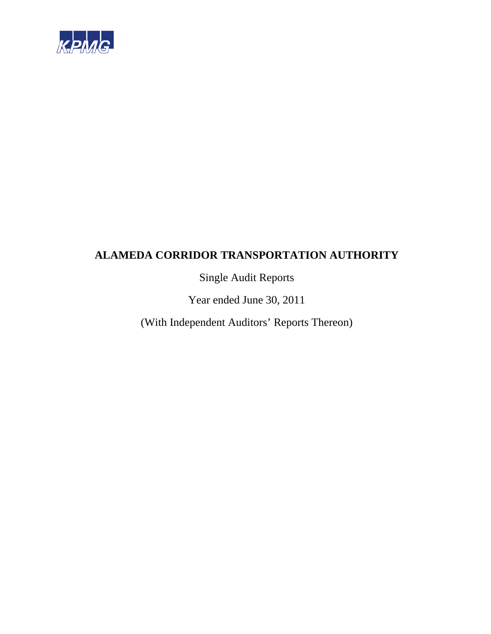

Single Audit Reports

Year ended June 30, 2011

(With Independent Auditors' Reports Thereon)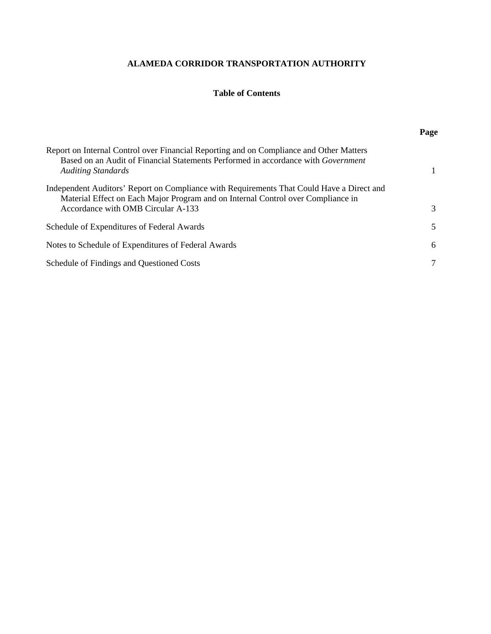# **Table of Contents**

|                                                                                                                                                                                                                     | Page |
|---------------------------------------------------------------------------------------------------------------------------------------------------------------------------------------------------------------------|------|
| Report on Internal Control over Financial Reporting and on Compliance and Other Matters<br>Based on an Audit of Financial Statements Performed in accordance with Government<br><b>Auditing Standards</b>           |      |
| Independent Auditors' Report on Compliance with Requirements That Could Have a Direct and<br>Material Effect on Each Major Program and on Internal Control over Compliance in<br>Accordance with OMB Circular A-133 | 3    |
| Schedule of Expenditures of Federal Awards                                                                                                                                                                          | 5    |
| Notes to Schedule of Expenditures of Federal Awards                                                                                                                                                                 | 6    |
| Schedule of Findings and Questioned Costs                                                                                                                                                                           | 7    |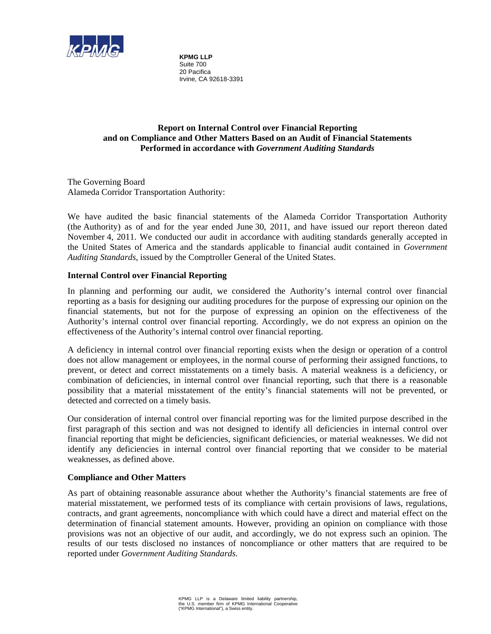

**KPMG LLP**  Suite 700 20 Pacifica Irvine, CA 92618-3391

# **Report on Internal Control over Financial Reporting and on Compliance and Other Matters Based on an Audit of Financial Statements Performed in accordance with** *Government Auditing Standards*

The Governing Board Alameda Corridor Transportation Authority:

We have audited the basic financial statements of the Alameda Corridor Transportation Authority (the Authority) as of and for the year ended June 30, 2011, and have issued our report thereon dated November 4, 2011. We conducted our audit in accordance with auditing standards generally accepted in the United States of America and the standards applicable to financial audit contained in *Government Auditing Standards*, issued by the Comptroller General of the United States.

# **Internal Control over Financial Reporting**

In planning and performing our audit, we considered the Authority's internal control over financial reporting as a basis for designing our auditing procedures for the purpose of expressing our opinion on the financial statements, but not for the purpose of expressing an opinion on the effectiveness of the Authority's internal control over financial reporting. Accordingly, we do not express an opinion on the effectiveness of the Authority's internal control over financial reporting.

A deficiency in internal control over financial reporting exists when the design or operation of a control does not allow management or employees, in the normal course of performing their assigned functions, to prevent, or detect and correct misstatements on a timely basis. A material weakness is a deficiency, or combination of deficiencies, in internal control over financial reporting, such that there is a reasonable possibility that a material misstatement of the entity's financial statements will not be prevented, or detected and corrected on a timely basis.

Our consideration of internal control over financial reporting was for the limited purpose described in the first paragraph of this section and was not designed to identify all deficiencies in internal control over financial reporting that might be deficiencies, significant deficiencies, or material weaknesses. We did not identify any deficiencies in internal control over financial reporting that we consider to be material weaknesses, as defined above.

# **Compliance and Other Matters**

As part of obtaining reasonable assurance about whether the Authority's financial statements are free of material misstatement, we performed tests of its compliance with certain provisions of laws, regulations, contracts, and grant agreements, noncompliance with which could have a direct and material effect on the determination of financial statement amounts. However, providing an opinion on compliance with those provisions was not an objective of our audit, and accordingly, we do not express such an opinion. The results of our tests disclosed no instances of noncompliance or other matters that are required to be reported under *Government Auditing Standards*.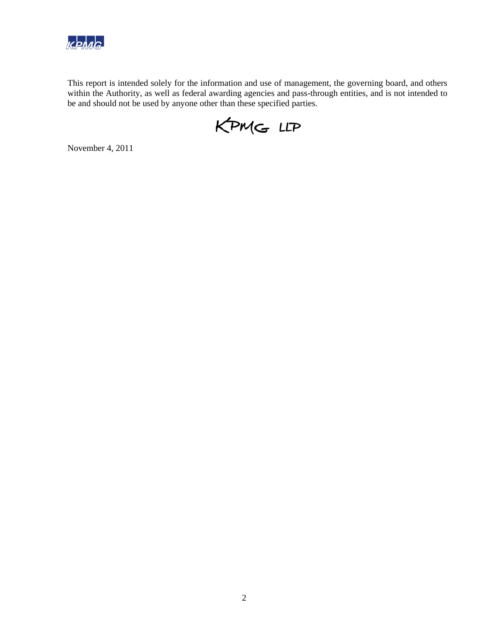

This report is intended solely for the information and use of management, the governing board, and others within the Authority, as well as federal awarding agencies and pass-through entities, and is not intended to be and should not be used by anyone other than these specified parties.

KPMG LLP

November 4, 2011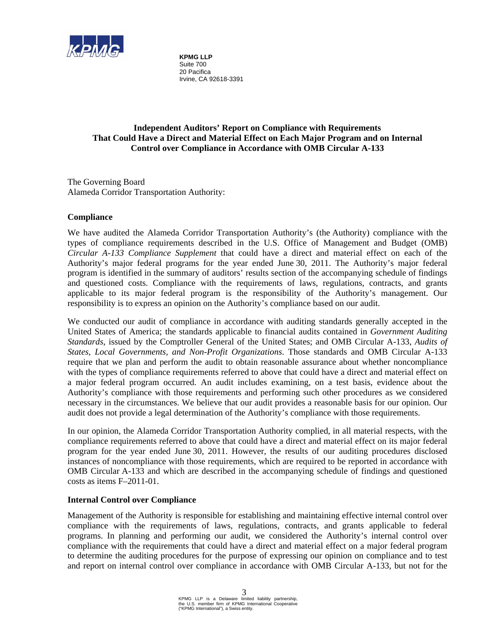

**KPMG LLP**  Suite 700 20 Pacifica Irvine, CA 92618-3391

# **Independent Auditors' Report on Compliance with Requirements That Could Have a Direct and Material Effect on Each Major Program and on Internal Control over Compliance in Accordance with OMB Circular A-133**

The Governing Board Alameda Corridor Transportation Authority:

# **Compliance**

We have audited the Alameda Corridor Transportation Authority's (the Authority) compliance with the types of compliance requirements described in the U.S. Office of Management and Budget (OMB) *Circular A-133 Compliance Supplement* that could have a direct and material effect on each of the Authority's major federal programs for the year ended June 30, 2011. The Authority's major federal program is identified in the summary of auditors' results section of the accompanying schedule of findings and questioned costs. Compliance with the requirements of laws, regulations, contracts, and grants applicable to its major federal program is the responsibility of the Authority's management. Our responsibility is to express an opinion on the Authority's compliance based on our audit.

We conducted our audit of compliance in accordance with auditing standards generally accepted in the United States of America; the standards applicable to financial audits contained in *Government Auditing Standards*, issued by the Comptroller General of the United States; and OMB Circular A-133, *Audits of States, Local Governments, and Non-Profit Organizations*. Those standards and OMB Circular A-133 require that we plan and perform the audit to obtain reasonable assurance about whether noncompliance with the types of compliance requirements referred to above that could have a direct and material effect on a major federal program occurred. An audit includes examining, on a test basis, evidence about the Authority's compliance with those requirements and performing such other procedures as we considered necessary in the circumstances. We believe that our audit provides a reasonable basis for our opinion. Our audit does not provide a legal determination of the Authority's compliance with those requirements.

In our opinion, the Alameda Corridor Transportation Authority complied, in all material respects, with the compliance requirements referred to above that could have a direct and material effect on its major federal program for the year ended June 30, 2011. However, the results of our auditing procedures disclosed instances of noncompliance with those requirements, which are required to be reported in accordance with OMB Circular A-133 and which are described in the accompanying schedule of findings and questioned costs as items F–2011-01.

# **Internal Control over Compliance**

Management of the Authority is responsible for establishing and maintaining effective internal control over compliance with the requirements of laws, regulations, contracts, and grants applicable to federal programs. In planning and performing our audit, we considered the Authority's internal control over compliance with the requirements that could have a direct and material effect on a major federal program to determine the auditing procedures for the purpose of expressing our opinion on compliance and to test and report on internal control over compliance in accordance with OMB Circular A-133, but not for the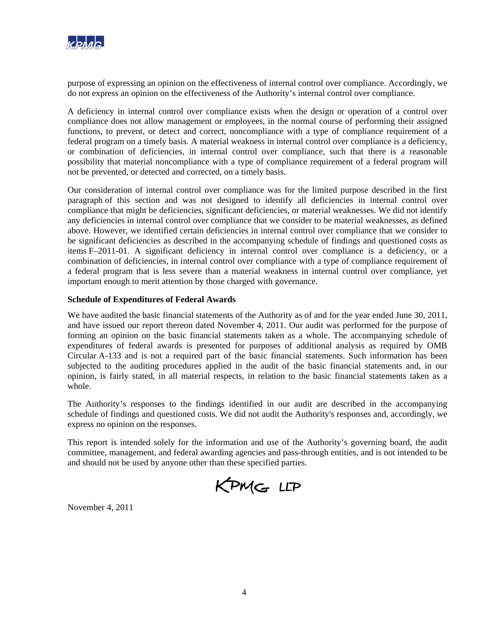

purpose of expressing an opinion on the effectiveness of internal control over compliance. Accordingly, we do not express an opinion on the effectiveness of the Authority's internal control over compliance.

A deficiency in internal control over compliance exists when the design or operation of a control over compliance does not allow management or employees, in the normal course of performing their assigned functions, to prevent, or detect and correct, noncompliance with a type of compliance requirement of a federal program on a timely basis. A material weakness in internal control over compliance is a deficiency, or combination of deficiencies, in internal control over compliance, such that there is a reasonable possibility that material noncompliance with a type of compliance requirement of a federal program will not be prevented, or detected and corrected, on a timely basis.

Our consideration of internal control over compliance was for the limited purpose described in the first paragraph of this section and was not designed to identify all deficiencies in internal control over compliance that might be deficiencies, significant deficiencies, or material weaknesses. We did not identify any deficiencies in internal control over compliance that we consider to be material weaknesses, as defined above. However, we identified certain deficiencies in internal control over compliance that we consider to be significant deficiencies as described in the accompanying schedule of findings and questioned costs as items F–2011-01. A significant deficiency in internal control over compliance is a deficiency, or a combination of deficiencies, in internal control over compliance with a type of compliance requirement of a federal program that is less severe than a material weakness in internal control over compliance, yet important enough to merit attention by those charged with governance.

### **Schedule of Expenditures of Federal Awards**

We have audited the basic financial statements of the Authority as of and for the year ended June 30, 2011, and have issued our report thereon dated November 4, 2011. Our audit was performed for the purpose of forming an opinion on the basic financial statements taken as a whole. The accompanying schedule of expenditures of federal awards is presented for purposes of additional analysis as required by OMB Circular A-133 and is not a required part of the basic financial statements. Such information has been subjected to the auditing procedures applied in the audit of the basic financial statements and, in our opinion, is fairly stated, in all material respects, in relation to the basic financial statements taken as a whole.

The Authority's responses to the findings identified in our audit are described in the accompanying schedule of findings and questioned costs. We did not audit the Authority's responses and, accordingly, we express no opinion on the responses.

This report is intended solely for the information and use of the Authority's governing board, the audit committee, management, and federal awarding agencies and pass-through entities, and is not intended to be and should not be used by anyone other than these specified parties.

KPMG LLP

November 4, 2011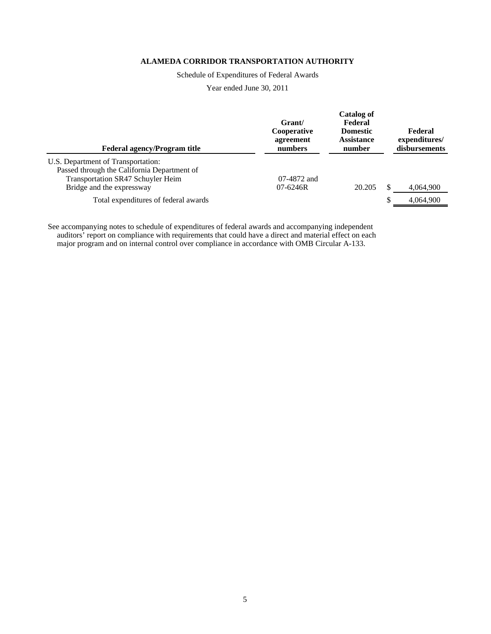Schedule of Expenditures of Federal Awards

Year ended June 30, 2011

| <b>Federal agency/Program title</b>                                                                                    | Grant/<br>Cooperative<br>agreement<br>numbers | <b>Catalog of</b><br>Federal<br><b>Domestic</b><br><b>Assistance</b><br>number |    | Federal<br>expenditures/<br>disbursements |
|------------------------------------------------------------------------------------------------------------------------|-----------------------------------------------|--------------------------------------------------------------------------------|----|-------------------------------------------|
| U.S. Department of Transportation:<br>Passed through the California Department of<br>Transportation SR47 Schuyler Heim | 07-4872 and                                   |                                                                                |    |                                           |
| Bridge and the expressway                                                                                              | $07 - 6246R$                                  | 20.205                                                                         | \$ | 4,064,900                                 |
| Total expenditures of federal awards                                                                                   |                                               |                                                                                | S  | 4,064,900                                 |

See accompanying notes to schedule of expenditures of federal awards and accompanying independent auditors' report on compliance with requirements that could have a direct and material effect on each major program and on internal control over compliance in accordance with OMB Circular A-133.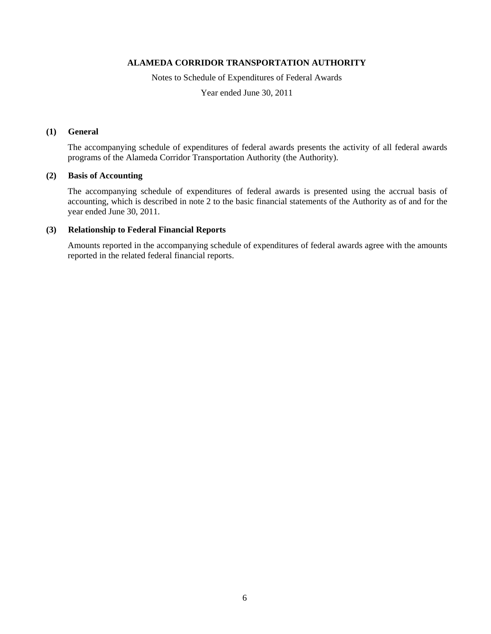Notes to Schedule of Expenditures of Federal Awards

Year ended June 30, 2011

#### **(1) General**

The accompanying schedule of expenditures of federal awards presents the activity of all federal awards programs of the Alameda Corridor Transportation Authority (the Authority).

#### **(2) Basis of Accounting**

The accompanying schedule of expenditures of federal awards is presented using the accrual basis of accounting, which is described in note 2 to the basic financial statements of the Authority as of and for the year ended June 30, 2011.

## **(3) Relationship to Federal Financial Reports**

Amounts reported in the accompanying schedule of expenditures of federal awards agree with the amounts reported in the related federal financial reports.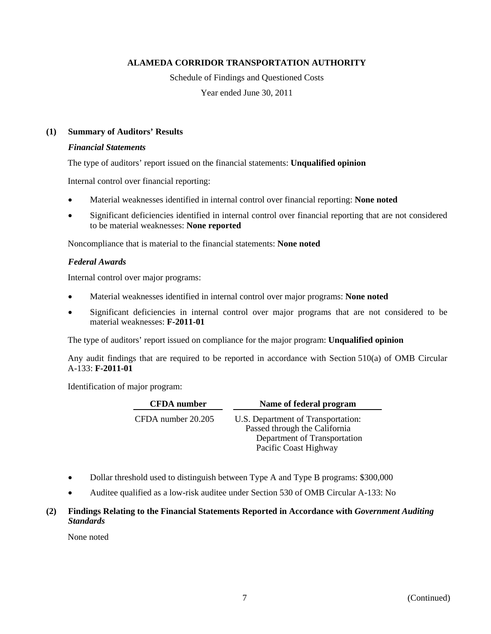Schedule of Findings and Questioned Costs

Year ended June 30, 2011

# **(1) Summary of Auditors' Results**

# *Financial Statements*

The type of auditors' report issued on the financial statements: **Unqualified opinion**

Internal control over financial reporting:

- Material weaknesses identified in internal control over financial reporting: **None noted**
- Significant deficiencies identified in internal control over financial reporting that are not considered to be material weaknesses: **None reported**

Noncompliance that is material to the financial statements: **None noted**

### *Federal Awards*

Internal control over major programs:

- Material weaknesses identified in internal control over major programs: **None noted**
- Significant deficiencies in internal control over major programs that are not considered to be material weaknesses: **F-2011-01**

The type of auditors' report issued on compliance for the major program: **Unqualified opinion**

Any audit findings that are required to be reported in accordance with Section 510(a) of OMB Circular A-133: **F-2011-01**

Identification of major program:

| Name of federal program                                                                                                      |
|------------------------------------------------------------------------------------------------------------------------------|
| U.S. Department of Transportation:<br>Passed through the California<br>Department of Transportation<br>Pacific Coast Highway |
|                                                                                                                              |

- Dollar threshold used to distinguish between Type A and Type B programs: \$300,000
- Auditee qualified as a low-risk auditee under Section 530 of OMB Circular A-133: No
- **(2) Findings Relating to the Financial Statements Reported in Accordance with** *Government Auditing Standards*

None noted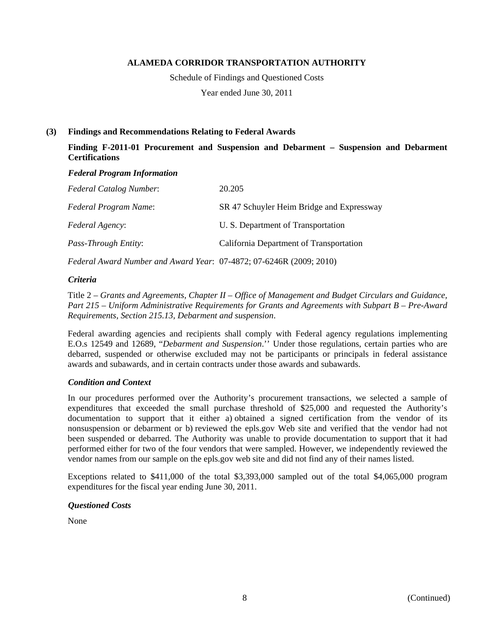Schedule of Findings and Questioned Costs

Year ended June 30, 2011

#### **(3) Findings and Recommendations Relating to Federal Awards**

**Finding F-2011-01 Procurement and Suspension and Debarment – Suspension and Debarment Certifications** 

*Federal Program Information* 

| Federal Catalog Number:     | 20.205                                    |
|-----------------------------|-------------------------------------------|
| Federal Program Name:       | SR 47 Schuyler Heim Bridge and Expressway |
| Federal Agency:             | U. S. Department of Transportation        |
| <b>Pass-Through Entity:</b> | California Department of Transportation   |

*Federal Award Number and Award Year*: 07-4872; 07-6246R (2009; 2010)

### *Criteria*

Title 2 – *Grants and Agreements, Chapter II – Office of Management and Budget Circulars and Guidance, Part 215 – Uniform Administrative Requirements for Grants and Agreements with Subpart B – Pre-Award Requirements, Section 215.13, Debarment and suspension*.

Federal awarding agencies and recipients shall comply with Federal agency regulations implementing E.O.s 12549 and 12689, "*Debarment and Suspension*.'' Under those regulations, certain parties who are debarred, suspended or otherwise excluded may not be participants or principals in federal assistance awards and subawards, and in certain contracts under those awards and subawards.

#### *Condition and Context*

In our procedures performed over the Authority's procurement transactions, we selected a sample of expenditures that exceeded the small purchase threshold of \$25,000 and requested the Authority's documentation to support that it either a) obtained a signed certification from the vendor of its nonsuspension or debarment or b) reviewed the epls.gov Web site and verified that the vendor had not been suspended or debarred. The Authority was unable to provide documentation to support that it had performed either for two of the four vendors that were sampled. However, we independently reviewed the vendor names from our sample on the epls.gov web site and did not find any of their names listed.

Exceptions related to \$411,000 of the total \$3,393,000 sampled out of the total \$4,065,000 program expenditures for the fiscal year ending June 30, 2011.

# *Questioned Costs*

None